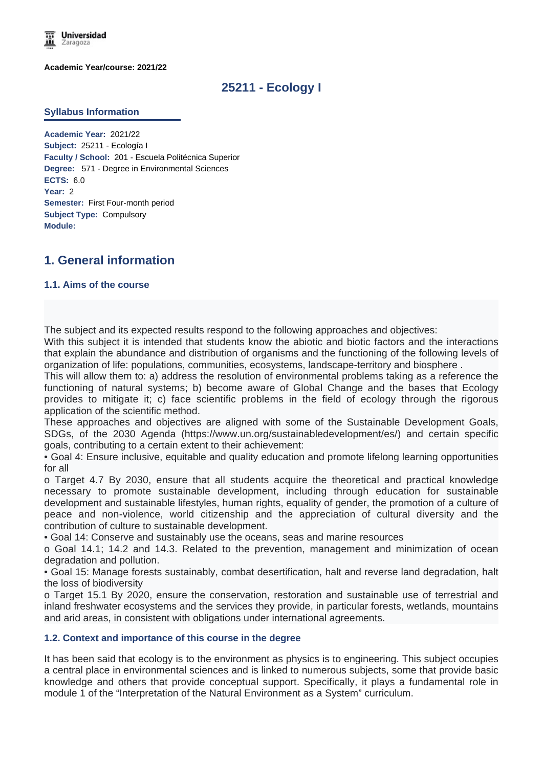

**Academic Year/course: 2021/22**

# **25211 - Ecology I**

#### **Syllabus Information**

**Academic Year:** 2021/22 **Subject:** 25211 - Ecología I **Faculty / School:** 201 - Escuela Politécnica Superior **Degree:** 571 - Degree in Environmental Sciences **ECTS:** 6.0 **Year:** 2 **Semester:** First Four-month period **Subject Type:** Compulsory **Module:**

# **1. General information**

### **1.1. Aims of the course**

The subject and its expected results respond to the following approaches and objectives:

With this subject it is intended that students know the abiotic and biotic factors and the interactions that explain the abundance and distribution of organisms and the functioning of the following levels of organization of life: populations, communities, ecosystems, landscape-territory and biosphere .

This will allow them to: a) address the resolution of environmental problems taking as a reference the functioning of natural systems; b) become aware of Global Change and the bases that Ecology provides to mitigate it; c) face scientific problems in the field of ecology through the rigorous application of the scientific method.

These approaches and objectives are aligned with some of the Sustainable Development Goals, SDGs, of the 2030 Agenda (https://www.un.org/sustainabledevelopment/es/) and certain specific goals, contributing to a certain extent to their achievement:

• Goal 4: Ensure inclusive, equitable and quality education and promote lifelong learning opportunities for all

o Target 4.7 By 2030, ensure that all students acquire the theoretical and practical knowledge necessary to promote sustainable development, including through education for sustainable development and sustainable lifestyles, human rights, equality of gender, the promotion of a culture of peace and non-violence, world citizenship and the appreciation of cultural diversity and the contribution of culture to sustainable development.

• Goal 14: Conserve and sustainably use the oceans, seas and marine resources

o Goal 14.1; 14.2 and 14.3. Related to the prevention, management and minimization of ocean degradation and pollution.

• Goal 15: Manage forests sustainably, combat desertification, halt and reverse land degradation, halt the loss of biodiversity

o Target 15.1 By 2020, ensure the conservation, restoration and sustainable use of terrestrial and inland freshwater ecosystems and the services they provide, in particular forests, wetlands, mountains and arid areas, in consistent with obligations under international agreements.

### **1.2. Context and importance of this course in the degree**

It has been said that ecology is to the environment as physics is to engineering. This subject occupies a central place in environmental sciences and is linked to numerous subjects, some that provide basic knowledge and others that provide conceptual support. Specifically, it plays a fundamental role in module 1 of the "Interpretation of the Natural Environment as a System" curriculum.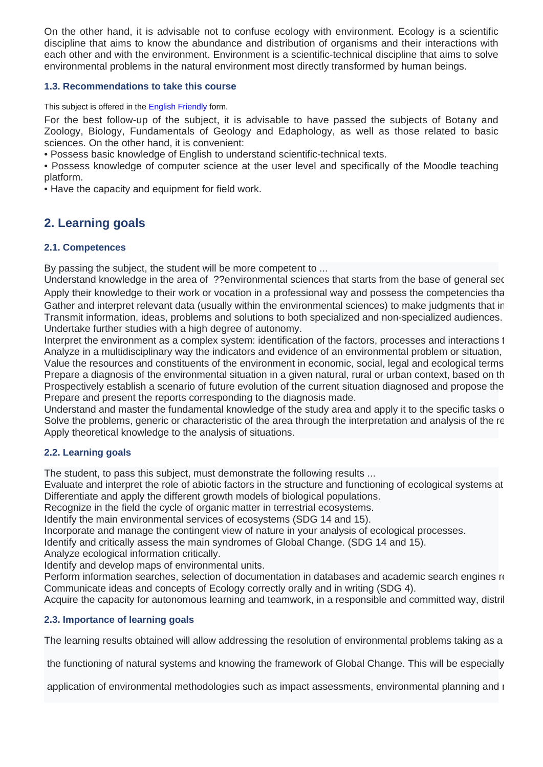On the other hand, it is advisable not to confuse ecology with environment. Ecology is a scientific discipline that aims to know the abundance and distribution of organisms and their interactions with each other and with the environment. Environment is a scientific-technical discipline that aims to solve environmental problems in the natural environment most directly transformed by human beings.

### **1.3. Recommendations to take this course**

This subject is offered in the English Friendly form.

For the best follow-up of the subject, it is advisable to have passed the subjects of Botany and Zoology, Biology, Fundamentals of Geology and Edaphology, as well as those related to basic sciences. On the other hand, it is convenient:

• Possess basic knowledge of English to understand scientific-technical texts.

• Possess knowledge of computer science at the user level and specifically of the Moodle teaching platform.

• Have the capacity and equipment for field work.

# **2. Learning goals**

## **2.1. Competences**

By passing the subject, the student will be more competent to ...

Understand knowledge in the area of ??environmental sciences that starts from the base of general sec Apply their knowledge to their work or vocation in a professional way and possess the competencies tha Gather and interpret relevant data (usually within the environmental sciences) to make judgments that in Transmit information, ideas, problems and solutions to both specialized and non-specialized audiences. Undertake further studies with a high degree of autonomy.

Interpret the environment as a complex system: identification of the factors, processes and interactions t Analyze in a multidisciplinary way the indicators and evidence of an environmental problem or situation, Value the resources and constituents of the environment in economic, social, legal and ecological terms. Prepare a diagnosis of the environmental situation in a given natural, rural or urban context, based on the Prospectively establish a scenario of future evolution of the current situation diagnosed and propose the Prepare and present the reports corresponding to the diagnosis made.

Understand and master the fundamental knowledge of the study area and apply it to the specific tasks of Solve the problems, generic or characteristic of the area through the interpretation and analysis of the re-Apply theoretical knowledge to the analysis of situations.

## **2.2. Learning goals**

The student, to pass this subject, must demonstrate the following results ...

Evaluate and interpret the role of abiotic factors in the structure and functioning of ecological systems at Differentiate and apply the different growth models of biological populations.

Recognize in the field the cycle of organic matter in terrestrial ecosystems.

Identify the main environmental services of ecosystems (SDG 14 and 15).

Incorporate and manage the contingent view of nature in your analysis of ecological processes.

Identify and critically assess the main syndromes of Global Change. (SDG 14 and 15).

Analyze ecological information critically.

Identify and develop maps of environmental units.

Perform information searches, selection of documentation in databases and academic search engines re Communicate ideas and concepts of Ecology correctly orally and in writing (SDG 4).

Acquire the capacity for autonomous learning and teamwork, in a responsible and committed way, distril

## **2.3. Importance of learning goals**

The learning results obtained will allow addressing the resolution of environmental problems taking as a

the functioning of natural systems and knowing the framework of Global Change. This will be especially

application of environmental methodologies such as impact assessments, environmental planning and restoration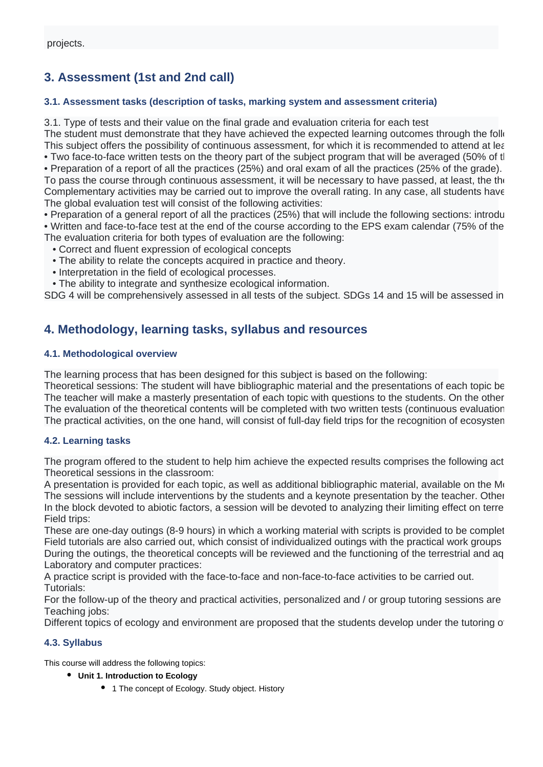# **3. Assessment (1st and 2nd call)**

## **3.1. Assessment tasks (description of tasks, marking system and assessment criteria)**

3.1. Type of tests and their value on the final grade and evaluation criteria for each test

The student must demonstrate that they have achieved the expected learning outcomes through the following assessment activities This subject offers the possibility of continuous assessment, for which it is recommended to attend at learning • Two face-to-face written tests on the theory part of the subject program that will be averaged (50% of tl

• Preparation of a report of all the practices (25%) and oral exam of all the practices (25% of the grade).

To pass the course through continuous assessment, it will be necessary to have passed, at least, the the Complementary activities may be carried out to improve the overall rating. In any case, all students have The global evaluation test will consist of the following activities:

• Preparation of a general report of all the practices (25%) that will include the following sections: introdu • Written and face-to-face test at the end of the course according to the EPS exam calendar (75% of the The evaluation criteria for both types of evaluation are the following:

- Correct and fluent expression of ecological concepts
- The ability to relate the concepts acquired in practice and theory.
- Interpretation in the field of ecological processes.
- The ability to integrate and synthesize ecological information.

SDG 4 will be comprehensively assessed in all tests of the subject. SDGs 14 and 15 will be assessed in

# **4. Methodology, learning tasks, syllabus and resources**

## **4.1. Methodological overview**

The learning process that has been designed for this subject is based on the following:

Theoretical sessions: The student will have bibliographic material and the presentations of each topic be The teacher will make a masterly presentation of each topic with questions to the students. On the other The evaluation of the theoretical contents will be completed with two written tests (continuous evaluation). The practical activities, on the one hand, will consist of full-day field trips for the recognition of ecosysten

## **4.2. Learning tasks**

The program offered to the student to help him achieve the expected results comprises the following act Theoretical sessions in the classroom:

A presentation is provided for each topic, as well as additional bibliographic material, available on the Moodle The sessions will include interventions by the students and a keynote presentation by the teacher. Other correspond to the participation of the participation of the presentation of the presentation of the students. Other In the block devoted to abiotic factors, a session will be devoted to analyzing their limiting effect on terre Field trips:

These are one-day outings (8-9 hours) in which a working material with scripts is provided to be complet Field tutorials are also carried out, which consist of individualized outings with the practical work groups During the outings, the theoretical concepts will be reviewed and the functioning of the terrestrial and ag Laboratory and computer practices:

A practice script is provided with the face-to-face and non-face-to-face activities to be carried out. Tutorials:

For the follow-up of the theory and practical activities, personalized and  $\prime$  or group tutoring sessions are Teaching jobs:

Different topics of ecology and environment are proposed that the students develop under the tutoring of

## **4.3. Syllabus**

This course will address the following topics:

- **Unit 1. Introduction to Ecology**
	- 1 The concept of Ecology. Study object. History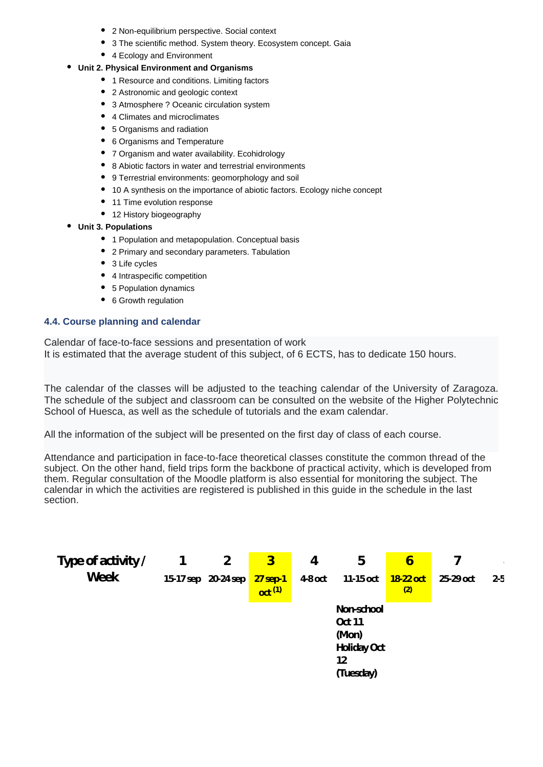- 2 Non-equilibrium perspective. Social context
- 3 The scientific method. System theory. Ecosystem concept. Gaia
- 4 Ecology and Environment

### **Unit 2. Physical Environment and Organisms**

- 1 Resource and conditions. Limiting factors
- 2 Astronomic and geologic context
- 3 Atmosphere ? Oceanic circulation system
- 4 Climates and microclimates
- 5 Organisms and radiation
- 6 Organisms and Temperature
- 7 Organism and water availability. Ecohidrology
- 8 Abiotic factors in water and terrestrial environments
- 9 Terrestrial environments: geomorphology and soil
- 10 A synthesis on the importance of abiotic factors. Ecology niche concept
- 11 Time evolution response
- 12 History biogeography
- **Unit 3. Populations**
	- 1 Population and metapopulation. Conceptual basis
	- 2 Primary and secondary parameters. Tabulation
	- 3 Life cycles
	- 4 Intraspecific competition
	- 5 Population dynamics
	- 6 Growth regulation

### **4.4. Course planning and calendar**

Calendar of face-to-face sessions and presentation of work It is estimated that the average student of this subject, of 6 ECTS, has to dedicate 150 hours.

The calendar of the classes will be adjusted to the teaching calendar of the University of Zaragoza. The schedule of the subject and classroom can be consulted on the website of the Higher Polytechnic School of Huesca, as well as the schedule of tutorials and the exam calendar.

All the information of the subject will be presented on the first day of class of each course.

Attendance and participation in face-to-face theoretical classes constitute the common thread of the subject. On the other hand, field trips form the backbone of practical activity, which is developed from them. Regular consultation of the Moodle platform is also essential for monitoring the subject. The calendar in which the activities are registered is published in this guide in the schedule in the last section.

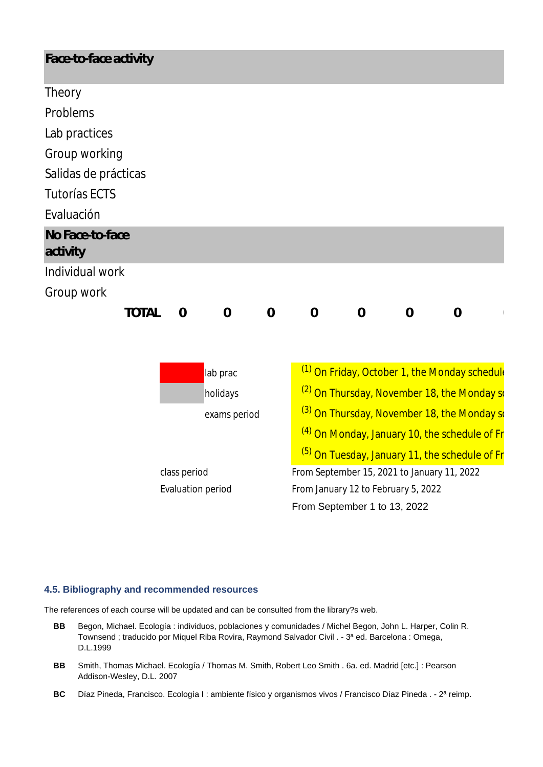| Face-to-face activity                                |                          |                |                |                |                                                           |                                     |                |                |  |
|------------------------------------------------------|--------------------------|----------------|----------------|----------------|-----------------------------------------------------------|-------------------------------------|----------------|----------------|--|
| Theory                                               |                          |                |                |                |                                                           |                                     |                |                |  |
| Problems                                             |                          |                |                |                |                                                           |                                     |                |                |  |
| Lab practices                                        |                          |                |                |                |                                                           |                                     |                |                |  |
| Group working                                        |                          |                |                |                |                                                           |                                     |                |                |  |
| Salidas de prácticas                                 |                          |                |                |                |                                                           |                                     |                |                |  |
| <b>Tutorías ECTS</b>                                 |                          |                |                |                |                                                           |                                     |                |                |  |
| Evaluación                                           |                          |                |                |                |                                                           |                                     |                |                |  |
| No Face-to-face<br>activity                          |                          |                |                |                |                                                           |                                     |                |                |  |
| Individual work                                      |                          |                |                |                |                                                           |                                     |                |                |  |
| Group work                                           |                          |                |                |                |                                                           |                                     |                |                |  |
|                                                      | <b>TOTAL</b>             | $\overline{0}$ | $\overline{0}$ | $\overline{0}$ | $\overline{0}$                                            | $\overline{0}$                      | $\overline{0}$ | $\overline{0}$ |  |
|                                                      |                          |                |                |                |                                                           |                                     |                |                |  |
|                                                      |                          |                |                |                |                                                           |                                     |                |                |  |
| lab prac<br>holidays<br>exams period<br>class period |                          |                |                |                | <sup>(1)</sup> On Friday, October 1, the Monday schedule  |                                     |                |                |  |
|                                                      |                          |                |                |                | <sup>(2)</sup> On Thursday, November 18, the Monday so    |                                     |                |                |  |
|                                                      |                          |                |                |                | <sup>(3)</sup> On Thursday, November 18, the Monday so    |                                     |                |                |  |
|                                                      |                          |                |                |                | <sup>(4)</sup> On Monday, January 10, the schedule of Fr  |                                     |                |                |  |
|                                                      |                          |                |                |                | <sup>(5)</sup> On Tuesday, January 11, the schedule of Fr |                                     |                |                |  |
|                                                      |                          |                |                |                | From September 15, 2021 to January 11, 2022               |                                     |                |                |  |
|                                                      | <b>Evaluation period</b> |                |                |                |                                                           | From January 12 to February 5, 2022 |                |                |  |
|                                                      |                          |                |                |                |                                                           | From September 1 to 13, 2022        |                |                |  |

### **4.5. Bibliography and recommended resources**

The references of each course will be updated and can be consulted from the library?s web.

- **BB** Begon, Michael. Ecología : individuos, poblaciones y comunidades / Michel Begon, John L. Harper, Colin R. Townsend ; traducido por Miquel Riba Rovira, Raymond Salvador Civil . - 3ª ed. Barcelona : Omega, D.L.1999
- **BB** Smith, Thomas Michael. Ecología / Thomas M. Smith, Robert Leo Smith . 6a. ed. Madrid [etc.] : Pearson Addison-Wesley, D.L. 2007
- **BC** Díaz Pineda, Francisco. Ecología I : ambiente físico y organismos vivos / Francisco Díaz Pineda . 2ª reimp.